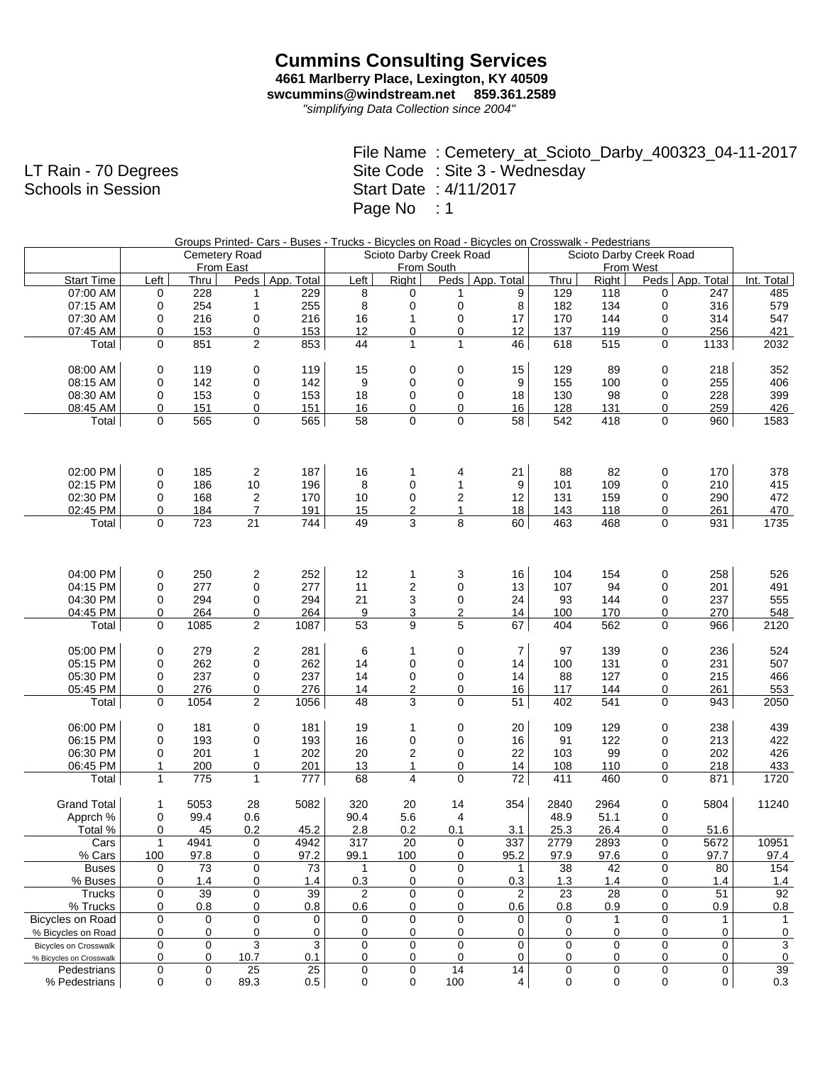## **Cummins Consulting Services 4661 Marlberry Place, Lexington, KY 40509 swcummins@windstream.net 859.361.2589**

*"simplifying Data Collection since 2004"*

|                | File Name: Cemetery_at_Scioto_Darby_400323_04-11-2017 |
|----------------|-------------------------------------------------------|
| n - 70 Degrees | Site Code : Site 3 - Wednesday                        |
| ls in Session  | Start Date: 4/11/2017                                 |
|                | Page No : 1                                           |

|                              |              |             |                |         |                 |                         |                         | Groups Printed-Cars - Buses - Trucks - Bicycles on Road - Bicycles on Crosswalk - Pedestrians |                         |             |             |                   |            |
|------------------------------|--------------|-------------|----------------|---------|-----------------|-------------------------|-------------------------|-----------------------------------------------------------------------------------------------|-------------------------|-------------|-------------|-------------------|------------|
|                              |              |             | Cemetery Road  |         |                 |                         | Scioto Darby Creek Road |                                                                                               | Scioto Darby Creek Road |             |             |                   |            |
|                              |              |             | From East      |         |                 |                         | From South              |                                                                                               |                         |             | From West   |                   |            |
| <b>Start Time</b>            | Left         | Thru        | Peds   App.    | Total   | Left            | Right                   |                         | Peds   App. Total                                                                             | Thru                    | Right       |             | Peds   App. Total | Int. Total |
| 07:00 AM                     | 0            | 228         | 1              | 229     | 8               | 0                       | 1                       | 9                                                                                             | 129                     | 118         | 0           | 247               | 485        |
| 07:15 AM                     | 0            | 254         | 1              | 255     | 8               | 0                       | 0                       | 8                                                                                             | 182                     | 134         | $\mathbf 0$ | 316               | 579        |
| 07:30 AM                     | 0            | 216         | 0              | 216     | 16              | $\mathbf{1}$            | 0                       | 17                                                                                            | 170                     | 144         | 0           | 314               | 547        |
| 07:45 AM                     | 0            | 153         | 0              | 153     | 12              | 0                       | $\overline{0}$          | 12                                                                                            | 137                     | 119         | 0           | 256               | 421        |
| Total                        | $\Omega$     | 851         | $\overline{2}$ | 853     | 44              | $\mathbf{1}$            | $\mathbf{1}$            | 46                                                                                            | 618                     | 515         | $\mathbf 0$ | 1133              | 2032       |
|                              |              |             |                |         |                 |                         |                         |                                                                                               |                         |             |             |                   |            |
| 08:00 AM                     | 0            | 119         | 0              | 119     | 15              | 0                       | 0                       | 15                                                                                            | 129                     | 89          | 0           | 218               | 352        |
| 08:15 AM                     | 0            | 142         | 0              | 142     | 9               | 0                       | 0                       | 9                                                                                             | 155                     | 100         | 0           | 255               | 406        |
| 08:30 AM                     | 0            | 153         | 0              | 153     | 18              | 0                       | 0                       | 18                                                                                            | 130                     | 98          | 0           | 228               | 399        |
| 08:45 AM                     | 0            | 151         | 0              | 151     | 16              | 0                       | $\mathbf 0$             | 16                                                                                            | 128                     | 131         | 0           | 259               | 426        |
| Total                        | $\Omega$     | 565         | 0              | 565     | 58              | 0                       | $\mathbf 0$             | 58                                                                                            | 542                     | 418         | 0           | 960               | 1583       |
|                              |              |             |                |         |                 |                         |                         |                                                                                               |                         |             |             |                   |            |
|                              |              |             |                |         |                 |                         |                         |                                                                                               |                         |             |             |                   |            |
| 02:00 PM                     | 0            | 185         | $\overline{c}$ | 187     | 16              | 1                       | 4                       | 21                                                                                            | 88                      | 82          | $\mathbf 0$ | 170               | 378        |
| 02:15 PM                     | $\mathbf 0$  | 186         | 10             | 196     | 8               | 0                       | $\mathbf{1}$            | 9                                                                                             | 101                     | 109         | 0           | 210               | 415        |
| 02:30 PM                     | $\mathbf 0$  | 168         | $\overline{c}$ | 170     | 10              | 0                       | 2                       | 12                                                                                            | 131                     | 159         | 0           | 290               | 472        |
| 02:45 PM                     | 0            | 184         | $\overline{7}$ | 191     | 15              | 2                       | $\mathbf{1}$            | 18                                                                                            | 143                     | 118         | 0           | 261               | 470        |
| Total                        | $\mathbf 0$  | 723         | 21             | 744     | 49              | 3                       | 8                       | 60                                                                                            | 463                     | 468         | 0           | 931               | 1735       |
|                              |              |             |                |         |                 |                         |                         |                                                                                               |                         |             |             |                   |            |
|                              |              |             |                |         |                 |                         |                         |                                                                                               |                         |             |             |                   |            |
| 04:00 PM                     | 0            | 250         | 2              | 252     | 12              | 1                       | 3                       | 16                                                                                            | 104                     | 154         | $\mathbf 0$ | 258               | 526        |
| 04:15 PM                     | $\mathbf 0$  | 277         | 0              | 277     | 11              | 2                       | 0                       | 13                                                                                            | 107                     | 94          | 0           | 201               | 491        |
| 04:30 PM                     | $\mathbf 0$  | 294         | 0              | 294     | 21              | 3                       | 0                       | 24                                                                                            | 93                      | 144         | 0           | 237               | 555        |
| 04:45 PM                     | 0            | 264         | $\overline{0}$ | 264     | $9\,$           | 3                       | $\overline{2}$          | 14                                                                                            | 100                     | 170         | 0           | 270               | 548        |
| Total                        | $\mathbf 0$  | 1085        | $\overline{2}$ | 1087    | $\overline{53}$ | 9                       | 5                       | 67                                                                                            | 404                     | 562         | $\mathbf 0$ | 966               | 2120       |
|                              |              |             |                |         |                 |                         |                         |                                                                                               |                         |             |             |                   |            |
| 05:00 PM                     | 0            | 279         | $\overline{c}$ | 281     | 6               | 1                       | 0                       | $\overline{7}$                                                                                | 97                      | 139         | $\mathbf 0$ | 236               | 524        |
| 05:15 PM                     | 0            | 262         | 0              | 262     | 14              | 0                       | 0                       | 14                                                                                            | 100                     | 131         | 0           | 231               | 507        |
| 05:30 PM                     | 0            | 237         | 0              | 237     | 14              | 0                       | 0                       | 14                                                                                            | 88                      | 127         | 0           | 215               | 466        |
| 05:45 PM                     | 0            | 276         | $\overline{0}$ | 276     | 14              | $\overline{c}$          | $\overline{0}$          | 16                                                                                            | 117                     | 144         | 0           | 261               | 553        |
| Total                        | $\mathbf 0$  | 1054        | $\overline{c}$ | 1056    | 48              | 3                       | 0                       | 51                                                                                            | 402                     | 541         | 0           | 943               | 2050       |
| 06:00 PM                     | 0            | 181         | 0              | 181     | 19              | 1                       | 0                       | 20                                                                                            | 109                     | 129         | $\mathbf 0$ | 238               | 439        |
| 06:15 PM                     | $\mathbf 0$  | 193         | 0              | 193     | 16              | 0                       | 0                       | 16                                                                                            | 91                      | 122         | 0           | 213               | 422        |
| 06:30 PM                     | 0            | 201         | $\mathbf{1}$   | 202     | 20              | $\overline{\mathbf{c}}$ | 0                       | 22                                                                                            | 103                     | 99          | 0           | 202               | 426        |
| 06:45 PM                     | $\mathbf{1}$ | 200         | $\overline{0}$ | 201     | 13              | 1                       | $\overline{0}$          | 14                                                                                            | 108                     | 110         | 0           | 218               | 433        |
| Total                        | $\mathbf{1}$ | 775         | $\mathbf{1}$   | 777     | 68              | $\overline{\mathbf{4}}$ | $\mathbf 0$             | 72                                                                                            | 411                     | 460         | $\mathbf 0$ | 871               | 1720       |
|                              |              |             |                |         |                 |                         |                         |                                                                                               |                         |             |             |                   |            |
| <b>Grand Total</b>           | $\mathbf{1}$ | 5053        | 28             | 5082    | 320             | 20                      | 14                      | 354                                                                                           | 2840                    | 2964        | 0           | 5804              | 11240      |
| Apprch %                     | 0            | 99.4        | 0.6            |         | 90.4            | 5.6                     | 4                       |                                                                                               | 48.9                    | 51.1        | 0           |                   |            |
| Total %                      | 0            | 45          | 0.2            | 45.2    | 2.8             | 0.2                     | 0.1                     | 3.1                                                                                           | 25.3                    | 26.4        | 0           | 51.6              |            |
| Cars                         | 1            | 4941        | 0              | 4942    | 317             | 20                      | 0                       | 337                                                                                           | 2779                    | 2893        | $\bf{0}$    | 5672              | 10951      |
| % Cars                       | 100          | 97.8        | 0              | 97.2    | 99.1            | 100                     | 0                       | 95.2                                                                                          | 97.9                    | 97.6        | 0           | 97.7              | 97.4       |
| <b>Buses</b>                 | 0            | 73          | $\mathbf 0$    | 73      | $\mathbf{1}$    | 0                       | $\mathbf 0$             | 1                                                                                             | 38                      | 42          | $\mathbf 0$ | 80                | 154        |
| % Buses                      | 0            | 1.4         | 0              | 1.4     | 0.3             | 0                       | 0                       | 0.3                                                                                           | 1.3                     | 1.4         | 0           | 1.4               | 1.4        |
| Trucks                       | 0            | 39          | 0              | 39      | 2               | 0                       | 0                       | 2                                                                                             | 23                      | 28          | 0           | 51                | 92         |
| % Trucks                     | 0            | 0.8         | 0              | 0.8     | 0.6             | 0                       | 0                       | 0.6                                                                                           | 0.8                     | 0.9         | 0           | 0.9               | 0.8        |
| Bicycles on Road             | 0            | 0           | 0              | 0       | 0               | 0                       | 0                       | 0                                                                                             | 0                       | 1           | 0           | 1                 | 1          |
| % Bicycles on Road           | 0            | 0           | 0              | 0       | 0               | 0                       | 0                       | 0                                                                                             | 0                       | 0           | 0           | 0                 | 0          |
| <b>Bicycles on Crosswalk</b> | $\mathbf 0$  | $\mathbf 0$ | 3              | 3       | $\mathbf 0$     | 0                       | 0                       | 0                                                                                             | 0                       | $\mathbf 0$ | 0           | $\mathbf 0$       | 3          |
| % Bicycles on Crosswalk      | $\mathbf 0$  | 0           | 10.7           | 0.1     | 0               | 0                       | 0                       | 0                                                                                             | 0                       | 0           | 0           | 0                 | 0          |
| Pedestrians                  | 0            | 0           | 25             | 25      | 0               | 0                       | 14                      | 14                                                                                            | 0                       | $\mathbf 0$ | 0           | 0                 | 39         |
| % Pedestrians                | 0            | 0           | 89.3           | $0.5\,$ | 0               | 0                       | 100                     | 4                                                                                             | 0                       | 0           | 0           | 0                 | 0.3        |

LT Rain Schools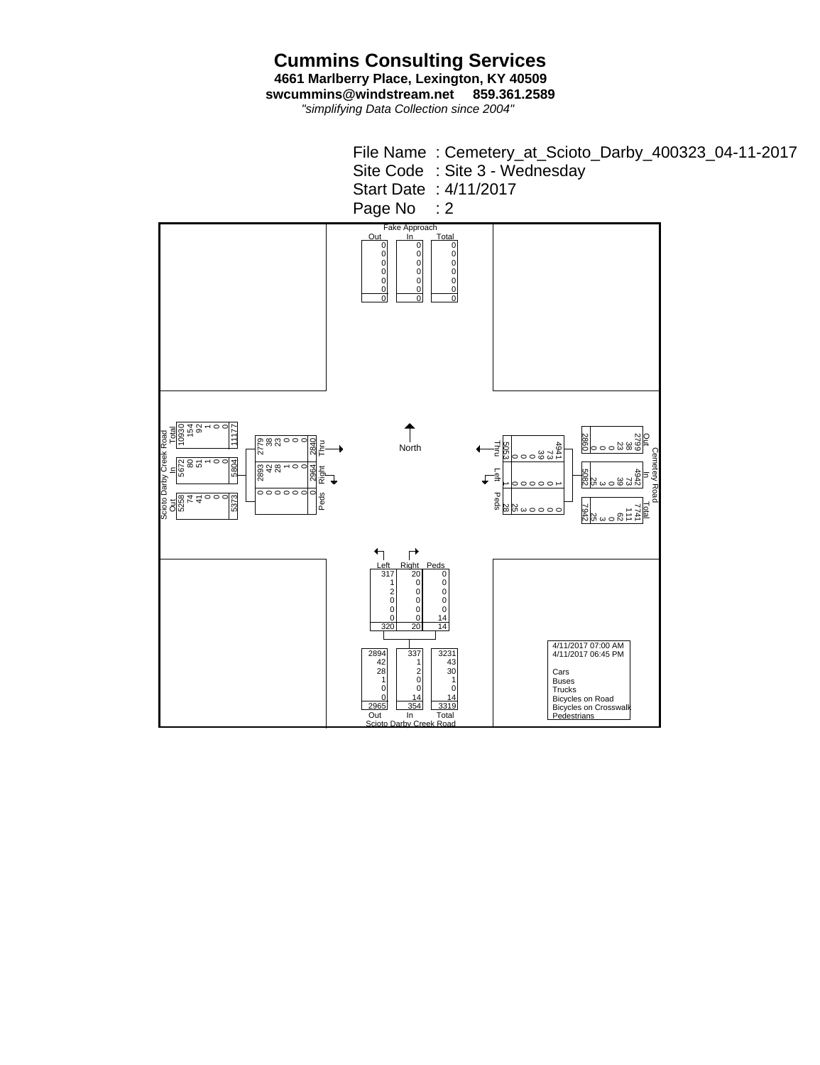**Cummins Consulting Services 4661 Marlberry Place, Lexington, KY 40509 swcummins@windstream.net 859.361.2589**

*"simplifying Data Collection since 2004"*

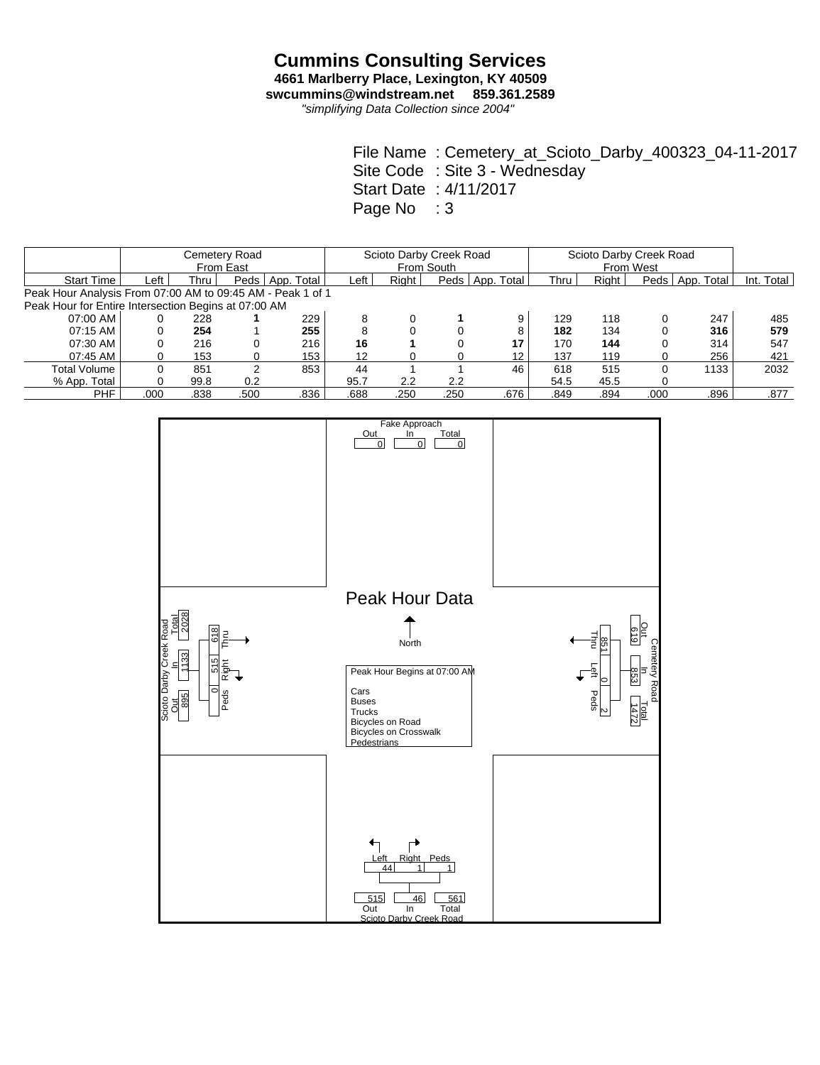*"simplifying Data Collection since 2004"*

File Name : Cemetery\_at\_Scioto\_Darby\_400323\_04-11-2017 Site Code : Site 3 - Wednesday Start Date : 4/11/2017 Page No : 3

|                                                            | Cemetery Road<br>From East |      |          |            |        | Scioto Darby Creek Road | From South |                   | Scioto Darby Creek Road<br>From West |       |      |                   |            |
|------------------------------------------------------------|----------------------------|------|----------|------------|--------|-------------------------|------------|-------------------|--------------------------------------|-------|------|-------------------|------------|
|                                                            |                            |      |          |            |        |                         |            |                   |                                      |       |      |                   |            |
| <b>Start Time</b>                                          | Left                       | Thru | Peds $ $ | App. Total | ∟eft ' | Right                   |            | Peds   App. Total | Thru                                 | Right |      | Peds   App. Total | Int. Total |
| Peak Hour Analysis From 07:00 AM to 09:45 AM - Peak 1 of 1 |                            |      |          |            |        |                         |            |                   |                                      |       |      |                   |            |
| Peak Hour for Entire Intersection Begins at 07:00 AM       |                            |      |          |            |        |                         |            |                   |                                      |       |      |                   |            |
| 07:00 AM                                                   |                            | 228  |          | 229        | 8      |                         |            | 9                 | 129                                  | 118   |      | 247               | 485        |
| 07:15 AM                                                   |                            | 254  |          | 255        | 8      |                         |            | 8                 | 182                                  | 134   |      | 316               | 579        |
| 07:30 AM                                                   |                            | 216  |          | 216        | 16     |                         |            | 17                | 170                                  | 144   |      | 314               | 547        |
| 07:45 AM                                                   | 0                          | 153  |          | 153        | 12     |                         |            | 12 <sup>2</sup>   | 137                                  | 119   | 0    | 256               | 421        |
| Total Volume                                               |                            | 851  |          | 853        | 44     |                         |            | 46                | 618                                  | 515   | 0    | 1133              | 2032       |
| % App. Total                                               |                            | 99.8 | 0.2      |            | 95.7   | 2.2                     | 2.2        |                   | 54.5                                 | 45.5  |      |                   |            |
| <b>PHF</b>                                                 | .000                       | .838 | .500     | .836       | .688   | .250                    | .250       | .676              | .849                                 | .894  | .000 | .896              | .877       |

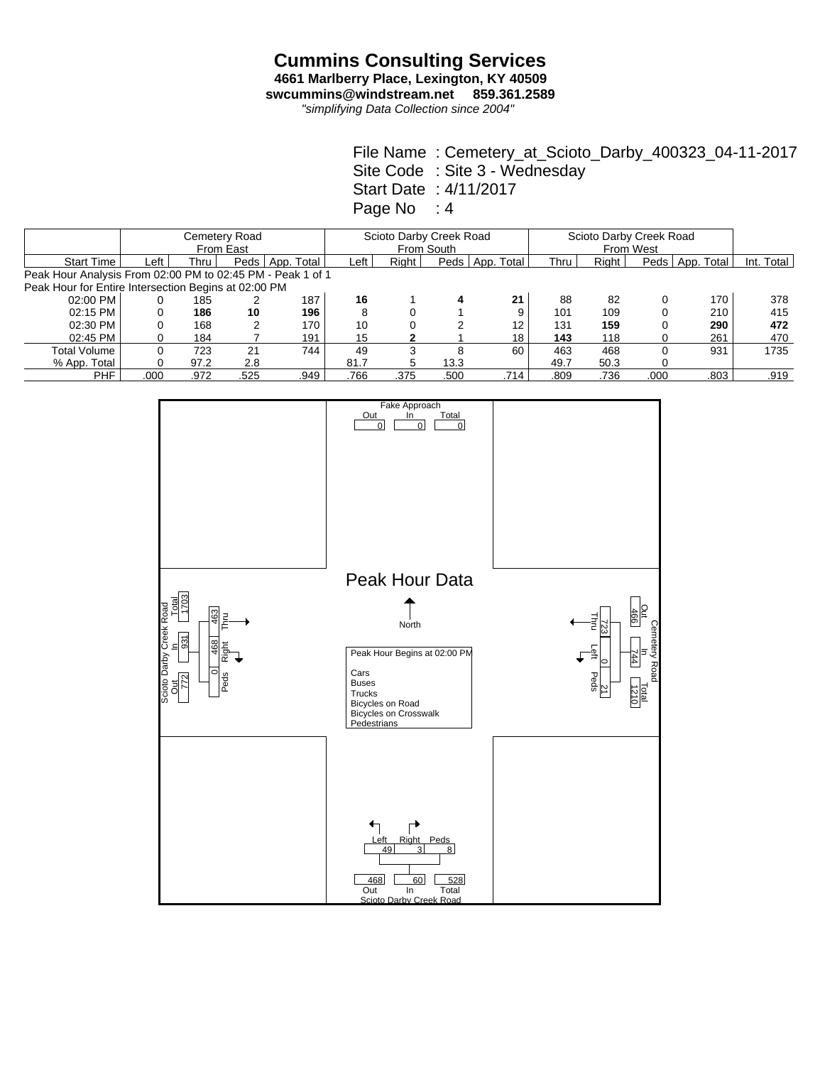*"simplifying Data Collection since 2004"*

File Name : Cemetery\_at\_Scioto\_Darby\_400323\_04-11-2017 Site Code : Site 3 - Wednesday Start Date : 4/11/2017 Page No : 4

|                                                            |      |      | Cemetery Road<br>From East |            |      | Scioto Darby Creek Road | From South |                   | Scioto Darby Creek Road<br>From West |       |      |            |            |
|------------------------------------------------------------|------|------|----------------------------|------------|------|-------------------------|------------|-------------------|--------------------------------------|-------|------|------------|------------|
| <b>Start Time</b>                                          | ∟eft | Thru | Peds                       | App. Total | ∟eft | Right                   | Peds $ $   | App. Total        | Thru                                 | Right | Peds | App. Total | Int. Total |
| Peak Hour Analysis From 02:00 PM to 02:45 PM - Peak 1 of 1 |      |      |                            |            |      |                         |            |                   |                                      |       |      |            |            |
| Peak Hour for Entire Intersection Begins at 02:00 PM       |      |      |                            |            |      |                         |            |                   |                                      |       |      |            |            |
| $02:00$ PM                                                 |      | 185  |                            | 187        | 16   |                         | 4          | 21                | 88                                   | 82    |      | 170        | 378        |
| 02:15 PM                                                   |      | 186  | 10                         | 196        | 8    |                         |            | 9                 | 101                                  | 109   |      | 210        | 415        |
| 02:30 PM                                                   |      | 168  | 2                          | 170        | 10   |                         |            | $12 \overline{ }$ | 131                                  | 159   |      | 290        | 472        |
| 02:45 PM                                                   |      | 184  |                            | 191        | 15   |                         |            | 18                | 143                                  | 118   |      | 261        | 470        |
| <b>Total Volume</b>                                        |      | 723  | 21                         | 744        | 49   |                         | 8          | 60                | 463                                  | 468   |      | 931        | 1735       |
| % App. Total                                               |      | 97.2 | 2.8                        |            | 81.7 | 5                       | 13.3       |                   | 49.7                                 | 50.3  |      |            |            |
| PHF                                                        | .000 | .972 | .525                       | .949       | .766 | .375                    | .500       | .714              | .809                                 | .736  | .000 | .803       | .919       |